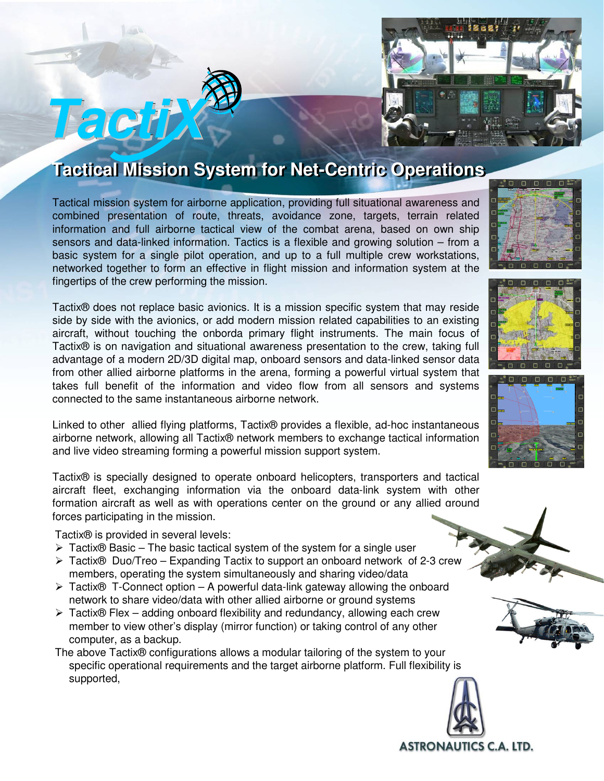

## **Tactical Mission System for Net-Centric Operations**

Tactical mission system for airborne application, providing full situational awareness and combined presentation of route, threats, avoidance zone, targets, terrain related information and full airborne tactical view of the combat arena, based on own ship sensors and data-linked information. Tactics is a flexible and growing solution – from a basic system for a single pilot operation, and up to a full multiple crew workstations, networked together to form an effective in flight mission and information system at the fingertips of the crew performing the mission.

Tactix® does not replace basic avionics. It is a mission specific system that may reside side by side with the avionics, or add modern mission related capabilities to an existing aircraft, without touching the onborda primary flight instruments. The main focus of Tactix® is on navigation and situational awareness presentation to the crew, taking full advantage of a modern 2D/3D digital map, onboard sensors and data-linked sensor data from other allied airborne platforms in the arena, forming a powerful virtual system that takes full benefit of the information and video flow from all sensors and systems connected to the same instantaneous airborne network.

Linked to other allied flying platforms, Tactix® provides a flexible, ad-hoc instantaneous airborne network, allowing all Tactix® network members to exchange tactical information and live video streaming forming a powerful mission support system.

Tactix® is specially designed to operate onboard helicopters, transporters and tactical aircraft fleet, exchanging information via the onboard data-link system with other formation aircraft as well as with operations center on the ground or any allied ground forces participating in the mission.

Tactix® is provided in several levels:

**TactiX**

- $\triangleright$  Tactix® Basic The basic tactical system of the system for a single user
- Tactix® Duo/Treo Expanding Tactix to support an onboard network of 2-3 crew members, operating the system simultaneously and sharing video/data
- $\triangleright$  Tactix<sup>®</sup> T-Connect option A powerful data-link gateway allowing the onboard network to share video/data with other allied airborne or ground systems
- Tactix® Flex adding onboard flexibility and redundancy, allowing each crew member to view other's display (mirror function) or taking control of any other computer, as a backup.
- The above Tactix® configurations allows a modular tailoring of the system to your specific operational requirements and the target airborne platform. Full flexibility is supported,